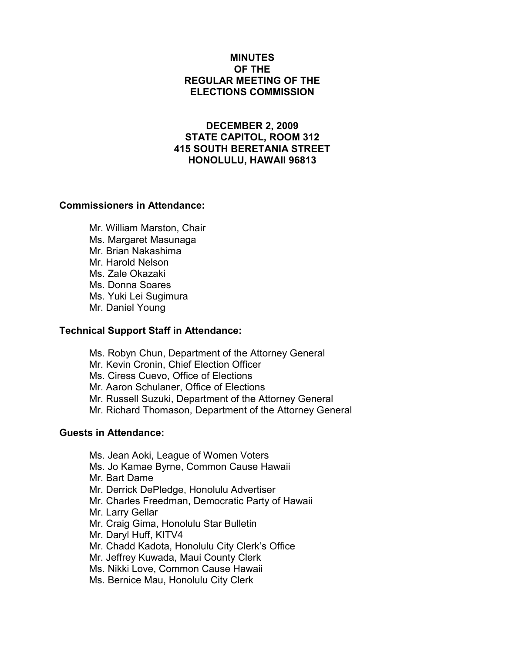## MINUTES OF THE REGULAR MEETING OF THE ELECTIONS COMMISSION

# DECEMBER 2, 2009 STATE CAPITOL, ROOM 312 415 SOUTH BERETANIA STREET HONOLULU, HAWAII 96813

### Commissioners in Attendance:

 Mr. William Marston, Chair Ms. Margaret Masunaga Mr. Brian Nakashima Mr. Harold Nelson Ms. Zale Okazaki Ms. Donna Soares Ms. Yuki Lei Sugimura Mr. Daniel Young

### Technical Support Staff in Attendance:

- Ms. Robyn Chun, Department of the Attorney General
- Mr. Kevin Cronin, Chief Election Officer
- Ms. Ciress Cuevo, Office of Elections
- Mr. Aaron Schulaner, Office of Elections
- Mr. Russell Suzuki, Department of the Attorney General
- Mr. Richard Thomason, Department of the Attorney General

#### Guests in Attendance:

- Ms. Jean Aoki, League of Women Voters
- Ms. Jo Kamae Byrne, Common Cause Hawaii
- Mr. Bart Dame
- Mr. Derrick DePledge, Honolulu Advertiser
- Mr. Charles Freedman, Democratic Party of Hawaii
- Mr. Larry Gellar
- Mr. Craig Gima, Honolulu Star Bulletin
- Mr. Daryl Huff, KITV4
- Mr. Chadd Kadota, Honolulu City Clerk's Office
- Mr. Jeffrey Kuwada, Maui County Clerk
- Ms. Nikki Love, Common Cause Hawaii
- Ms. Bernice Mau, Honolulu City Clerk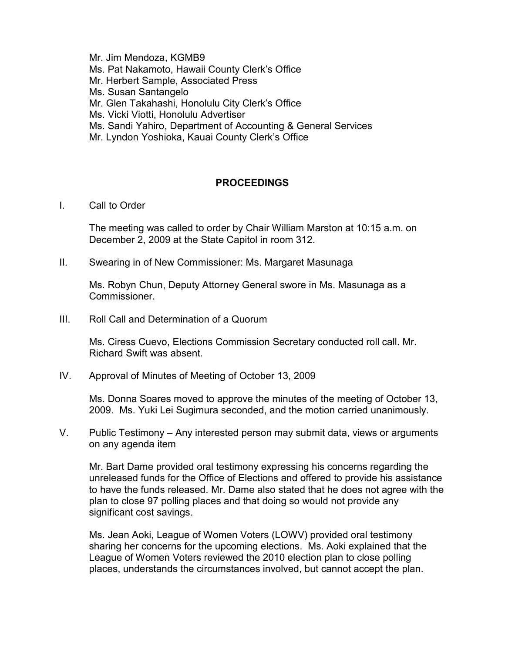Mr. Jim Mendoza, KGMB9 Ms. Pat Nakamoto, Hawaii County Clerk's Office Mr. Herbert Sample, Associated Press Ms. Susan Santangelo Mr. Glen Takahashi, Honolulu City Clerk's Office Ms. Vicki Viotti, Honolulu Advertiser Ms. Sandi Yahiro, Department of Accounting & General Services Mr. Lyndon Yoshioka, Kauai County Clerk's Office

# **PROCEEDINGS**

I. Call to Order

The meeting was called to order by Chair William Marston at 10:15 a.m. on December 2, 2009 at the State Capitol in room 312.

II. Swearing in of New Commissioner: Ms. Margaret Masunaga

Ms. Robyn Chun, Deputy Attorney General swore in Ms. Masunaga as a Commissioner.

III. Roll Call and Determination of a Quorum

Ms. Ciress Cuevo, Elections Commission Secretary conducted roll call. Mr. Richard Swift was absent.

IV. Approval of Minutes of Meeting of October 13, 2009

Ms. Donna Soares moved to approve the minutes of the meeting of October 13, 2009. Ms. Yuki Lei Sugimura seconded, and the motion carried unanimously.

V. Public Testimony – Any interested person may submit data, views or arguments on any agenda item

Mr. Bart Dame provided oral testimony expressing his concerns regarding the unreleased funds for the Office of Elections and offered to provide his assistance to have the funds released. Mr. Dame also stated that he does not agree with the plan to close 97 polling places and that doing so would not provide any significant cost savings.

Ms. Jean Aoki, League of Women Voters (LOWV) provided oral testimony sharing her concerns for the upcoming elections. Ms. Aoki explained that the League of Women Voters reviewed the 2010 election plan to close polling places, understands the circumstances involved, but cannot accept the plan.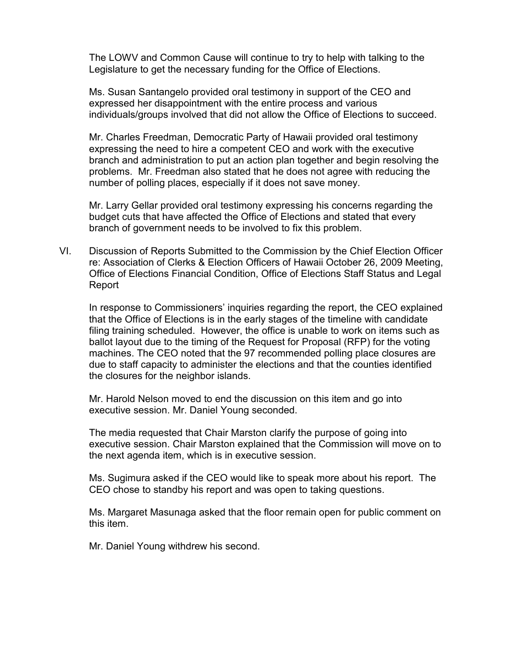The LOWV and Common Cause will continue to try to help with talking to the Legislature to get the necessary funding for the Office of Elections.

Ms. Susan Santangelo provided oral testimony in support of the CEO and expressed her disappointment with the entire process and various individuals/groups involved that did not allow the Office of Elections to succeed.

Mr. Charles Freedman, Democratic Party of Hawaii provided oral testimony expressing the need to hire a competent CEO and work with the executive branch and administration to put an action plan together and begin resolving the problems. Mr. Freedman also stated that he does not agree with reducing the number of polling places, especially if it does not save money.

Mr. Larry Gellar provided oral testimony expressing his concerns regarding the budget cuts that have affected the Office of Elections and stated that every branch of government needs to be involved to fix this problem.

VI. Discussion of Reports Submitted to the Commission by the Chief Election Officer re: Association of Clerks & Election Officers of Hawaii October 26, 2009 Meeting, Office of Elections Financial Condition, Office of Elections Staff Status and Legal Report

In response to Commissioners' inquiries regarding the report, the CEO explained that the Office of Elections is in the early stages of the timeline with candidate filing training scheduled. However, the office is unable to work on items such as ballot layout due to the timing of the Request for Proposal (RFP) for the voting machines. The CEO noted that the 97 recommended polling place closures are due to staff capacity to administer the elections and that the counties identified the closures for the neighbor islands.

Mr. Harold Nelson moved to end the discussion on this item and go into executive session. Mr. Daniel Young seconded.

The media requested that Chair Marston clarify the purpose of going into executive session. Chair Marston explained that the Commission will move on to the next agenda item, which is in executive session.

Ms. Sugimura asked if the CEO would like to speak more about his report. The CEO chose to standby his report and was open to taking questions.

Ms. Margaret Masunaga asked that the floor remain open for public comment on this item.

Mr. Daniel Young withdrew his second.